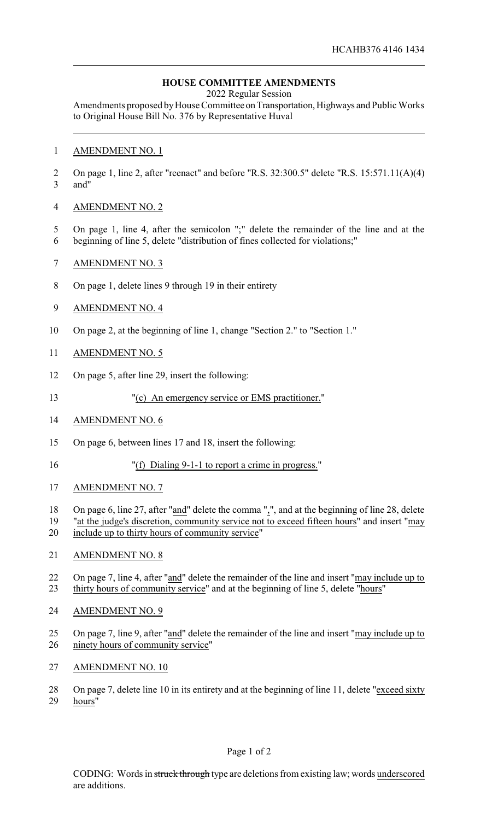## **HOUSE COMMITTEE AMENDMENTS**

2022 Regular Session

Amendments proposed by House Committee on Transportation, Highways and Public Works to Original House Bill No. 376 by Representative Huval

## AMENDMENT NO. 1

 On page 1, line 2, after "reenact" and before "R.S. 32:300.5" delete "R.S. 15:571.11(A)(4) and"

## AMENDMENT NO. 2

- On page 1, line 4, after the semicolon ";" delete the remainder of the line and at the
- beginning of line 5, delete "distribution of fines collected for violations;"
- AMENDMENT NO. 3
- On page 1, delete lines 9 through 19 in their entirety
- AMENDMENT NO. 4
- On page 2, at the beginning of line 1, change "Section 2." to "Section 1."
- AMENDMENT NO. 5
- On page 5, after line 29, insert the following:
- "(c) An emergency service or EMS practitioner."
- AMENDMENT NO. 6
- On page 6, between lines 17 and 18, insert the following:
- "(f) Dialing 9-1-1 to report a crime in progress."
- AMENDMENT NO. 7
- 18 On page 6, line 27, after "and" delete the comma ",", and at the beginning of line 28, delete
- "at the judge's discretion, community service not to exceed fifteen hours" and insert "may include up to thirty hours of community service"
- AMENDMENT NO. 8
- On page 7, line 4, after "and" delete the remainder of the line and insert "may include up to thirty hours of community service" and at the beginning of line 5, delete "hours"
- AMENDMENT NO. 9
- On page 7, line 9, after "and" delete the remainder of the line and insert "may include up to ninety hours of community service"
- AMENDMENT NO. 10
- 28 On page 7, delete line 10 in its entirety and at the beginning of line 11, delete "exceed sixty hours"